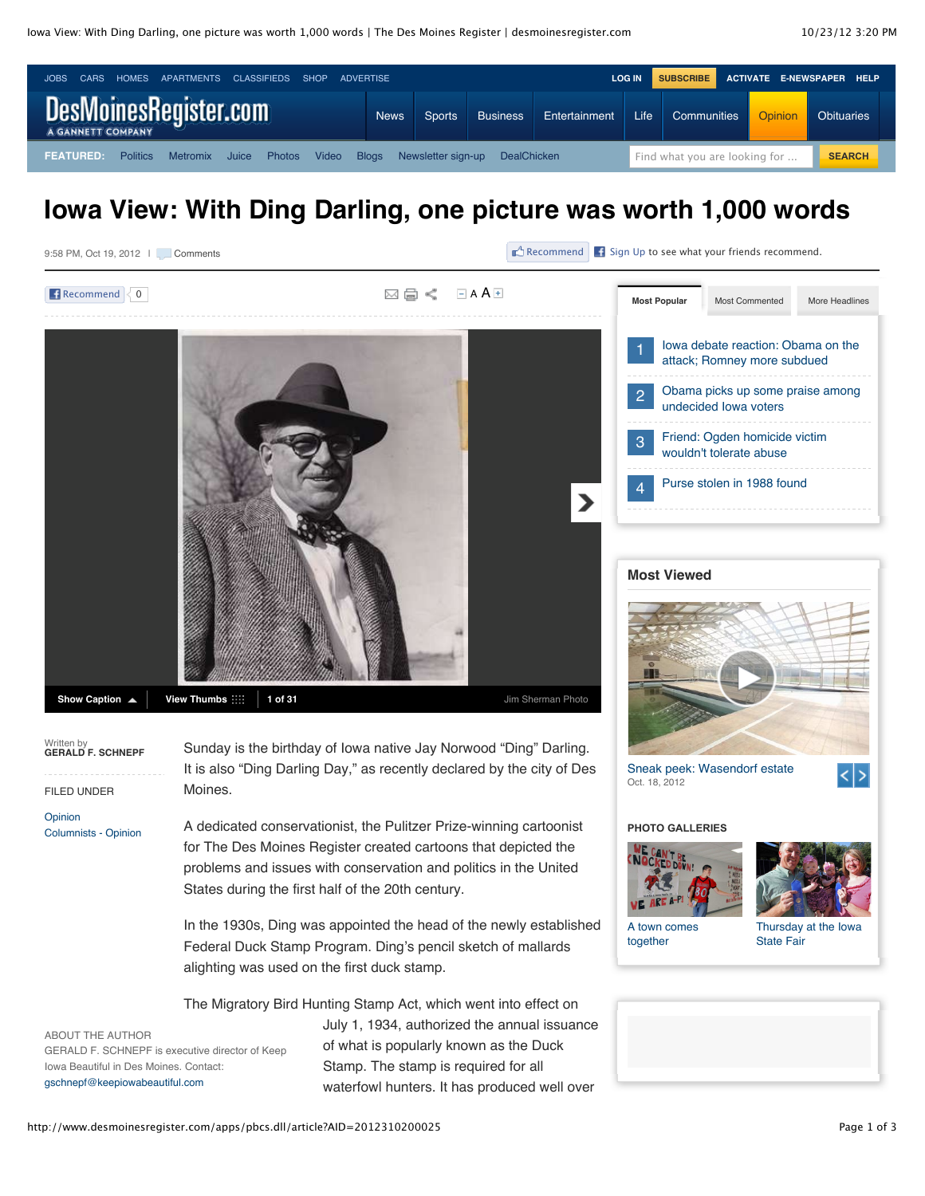9:58 PM, Oct 19, 2012 | Comments



 $\mathbb{E}^{\Lambda}$  Recommend  $\begin{array}{|c|c|} \hline \textbf{f} & \textbf{Sign Up to see what your friends recommend.} \hline \end{array}$  $\begin{array}{|c|c|} \hline \textbf{f} & \textbf{Sign Up to see what your friends recommend.} \hline \end{array}$  $\begin{array}{|c|c|} \hline \textbf{f} & \textbf{Sign Up to see what your friends recommend.} \hline \end{array}$ 

| <b>Recommend</b><br>$\overline{0}$                                                        |                                                                                                                                                        | $-$ A A $+$<br>図目く                                                                   | <b>Most Popular</b>                                                                                                             | Most Commented             | More Headlines |
|-------------------------------------------------------------------------------------------|--------------------------------------------------------------------------------------------------------------------------------------------------------|--------------------------------------------------------------------------------------|---------------------------------------------------------------------------------------------------------------------------------|----------------------------|----------------|
|                                                                                           |                                                                                                                                                        |                                                                                      | lowa debate reaction: Obama on the<br>attack; Romney more subdued                                                               |                            |                |
|                                                                                           |                                                                                                                                                        |                                                                                      | Obama picks up some praise among<br>2<br>undecided lowa voters<br>Friend: Ogden homicide victim<br>3<br>wouldn't tolerate abuse |                            |                |
|                                                                                           |                                                                                                                                                        |                                                                                      |                                                                                                                                 |                            |                |
|                                                                                           |                                                                                                                                                        | ⋗                                                                                    | 4                                                                                                                               | Purse stolen in 1988 found |                |
|                                                                                           |                                                                                                                                                        |                                                                                      | <b>Most Viewed</b>                                                                                                              |                            |                |
|                                                                                           |                                                                                                                                                        |                                                                                      |                                                                                                                                 |                            |                |
| Show Caption ▲                                                                            | View Thumbs ::::<br>1 of 31                                                                                                                            | Jim Sherman Photo                                                                    |                                                                                                                                 |                            |                |
| Written by<br>GERALD F. SCHNEPF<br><b>FILED UNDER</b>                                     | Sunday is the birthday of Iowa native Jay Norwood "Ding" Darling.<br>It is also "Ding Darling Day," as recently declared by the city of Des<br>Moines. | Sneak peek: Wasendorf estate<br>∣< ><br>Oct. 18, 2012                                |                                                                                                                                 |                            |                |
| Opinion<br><b>Columnists - Opinion</b>                                                    | A dedicated conservationist, the Pulitzer Prize-winning cartoonist                                                                                     |                                                                                      | <b>PHOTO GALLERIES</b>                                                                                                          |                            |                |
|                                                                                           | for The Des Moines Register created cartoons that depicted the                                                                                         |                                                                                      |                                                                                                                                 |                            |                |
|                                                                                           | problems and issues with conservation and politics in the United<br>States during the first half of the 20th century.                                  |                                                                                      |                                                                                                                                 |                            |                |
|                                                                                           | In the 1930s, Ding was appointed the head of the newly established                                                                                     | A town comes                                                                         |                                                                                                                                 | Thursday at the lowa       |                |
|                                                                                           | Federal Duck Stamp Program. Ding's pencil sketch of mallards                                                                                           | together                                                                             | State Fair                                                                                                                      |                            |                |
|                                                                                           |                                                                                                                                                        | alighting was used on the first duck stamp.                                          |                                                                                                                                 |                            |                |
|                                                                                           | The Migratory Bird Hunting Stamp Act, which went into effect on                                                                                        |                                                                                      |                                                                                                                                 |                            |                |
| ABOUT THE AUTHOR                                                                          |                                                                                                                                                        | July 1, 1934, authorized the annual issuance                                         |                                                                                                                                 |                            |                |
| GERALD F. SCHNEPF is executive director of Keep<br>Iowa Beautiful in Des Moines, Contact: |                                                                                                                                                        | of what is popularly known as the Duck                                               |                                                                                                                                 |                            |                |
| gschnepf@keepiowabeautiful.com                                                            |                                                                                                                                                        | Stamp. The stamp is required for all<br>waterfowl hunters. It has produced well over |                                                                                                                                 |                            |                |

http://www.desmoinesregister.com/apps/pbcs.dll/article?AID=2012310200025 Page 1 of 3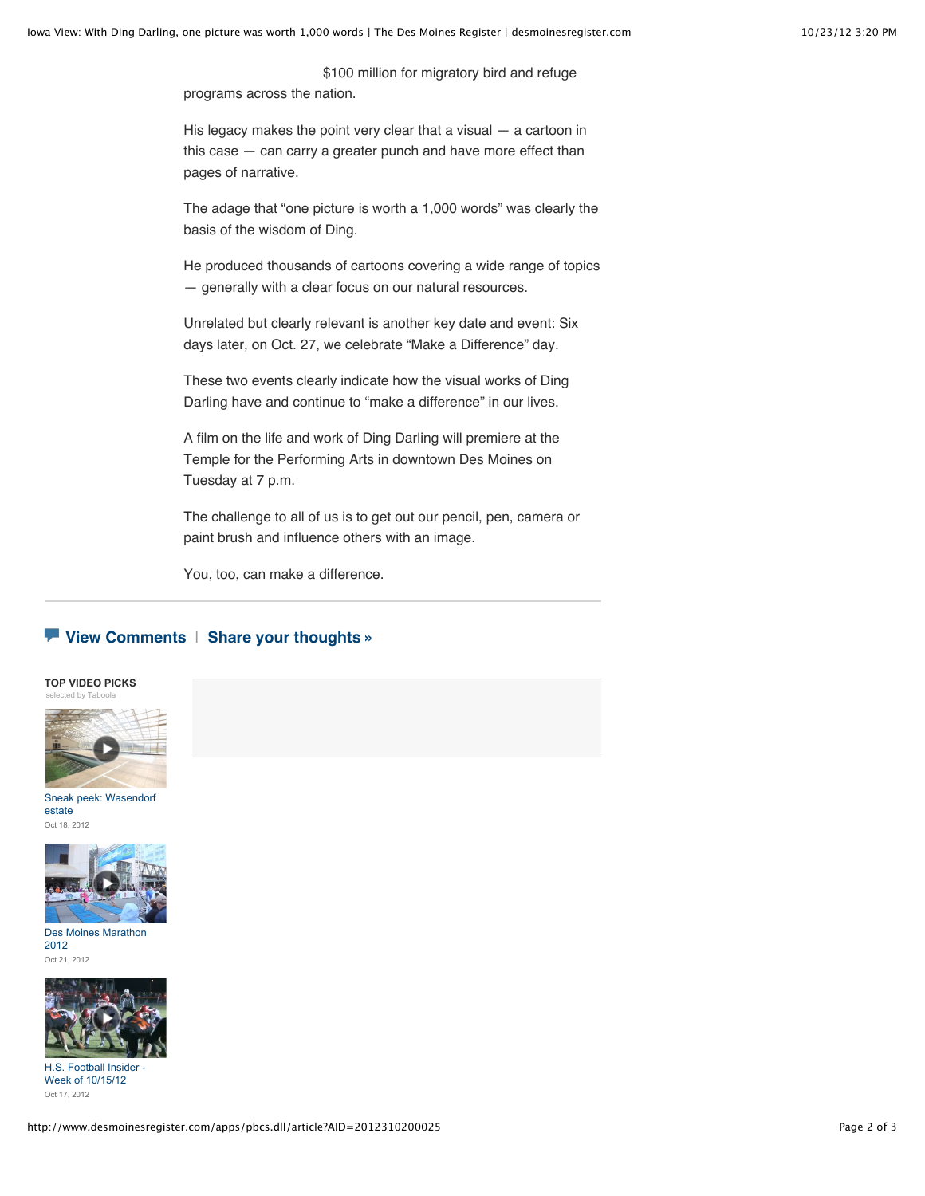\$100 million for migratory bird and refuge programs across the nation.

His legacy makes the point very clear that a visual — a cartoon in this case — can carry a greater punch and have more effect than pages of narrative.

The adage that "one picture is worth a 1,000 words" was clearly the basis of the wisdom of Ding.

He produced thousands of cartoons covering a wide range of topics — generally with a clear focus on our natural resources.

Unrelated but clearly relevant is another key date and event: Six days later, on Oct. 27, we celebrate "Make a Difference" day.

These two events clearly indicate how the visual works of Ding Darling have and continue to "make a difference" in our lives.

A film on the life and work of Ding Darling will premiere at the Temple for the Performing Arts in downtown Des Moines on Tuesday at 7 p.m.

The challenge to all of us is to get out our pencil, pen, camera or paint brush and influence others with an image.

You, too, can make a difference.

## **[View Comments](http://www.desmoinesregister.com/comments/article/20121020/OPINION01/310200025/Iowa-View-Ding-Darling-one-picture-worth-1-000-words)** | **[Share your thoughts »](http://www.desmoinesregister.com/comments/article/20121020/OPINION01/310200025/Iowa-View-Ding-Darling-one-picture-worth-1-000-words)**





[Sneak peek: Wasendorf](http://www.desmoinesregister.com/videonetwork/1910481520001?odyssey=mod%7Ctvideo%7Carticle) estate Oct 18, 2012



[Des Moines Marathon](http://www.desmoinesregister.com/videonetwork/1916421189001?odyssey=mod%7Ctvideo%7Carticle) 2012 Oct 21, 2012



H.S. Football Insider Week of 10/15/12 Oct 17, 2012